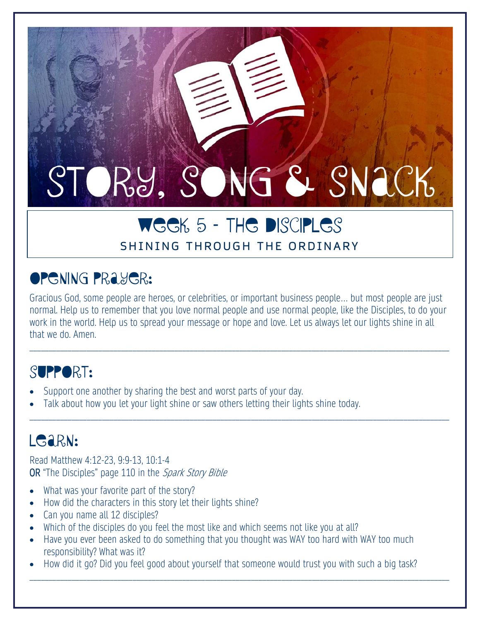# STORY, SONG & SNACK

## WEEK 5 - THE DISCIPLES SHINING THROUGH THE ORDINARY

# Opening Prayer:

Gracious God, some people are heroes, or celebrities, or important business people… but most people are just normal. Help us to remember that you love normal people and use normal people, like the Disciples, to do your work in the world. Help us to spread your message or hope and love. Let us always let our lights shine in all that we do. Amen.

\_\_\_\_\_\_\_\_\_\_\_\_\_\_\_\_\_\_\_\_\_\_\_\_\_\_\_\_\_\_\_\_\_\_\_\_\_\_\_\_\_\_\_\_\_\_\_\_\_\_\_\_\_\_\_\_\_\_\_\_\_\_\_\_\_\_\_\_\_\_\_\_\_\_\_\_\_\_\_\_\_\_\_\_\_\_\_\_\_\_\_\_\_\_\_\_\_\_\_\_\_\_\_\_\_\_\_\_\_\_

\_\_\_\_\_\_\_\_\_\_\_\_\_\_\_\_\_\_\_\_\_\_\_\_\_\_\_\_\_\_\_\_\_\_\_\_\_\_\_\_\_\_\_\_\_\_\_\_\_\_\_\_\_\_\_\_\_\_\_\_\_\_\_\_\_\_\_\_\_\_\_\_\_\_\_\_\_\_\_\_\_\_\_\_\_\_\_\_\_\_\_\_\_\_\_\_\_\_\_\_\_\_\_\_\_\_\_\_\_\_

## SUPPORT:

- Support one another by sharing the best and worst parts of your day.
- Talk about how you let your light shine or saw others letting their lights shine today.

# LGARN:

Read Matthew 4:12-23, 9:9-13, 10:1-4 OR "The Disciples" page 110 in the Spark Story Bible

- What was your favorite part of the story?
- How did the characters in this story let their lights shine?
- Can you name all 12 disciples?
- Which of the disciples do you feel the most like and which seems not like you at all?
- Have you ever been asked to do something that you thought was WAY too hard with WAY too much responsibility? What was it?
- How did it go? Did you feel good about yourself that someone would trust you with such a big task?

\_\_\_\_\_\_\_\_\_\_\_\_\_\_\_\_\_\_\_\_\_\_\_\_\_\_\_\_\_\_\_\_\_\_\_\_\_\_\_\_\_\_\_\_\_\_\_\_\_\_\_\_\_\_\_\_\_\_\_\_\_\_\_\_\_\_\_\_\_\_\_\_\_\_\_\_\_\_\_\_\_\_\_\_\_\_\_\_\_\_\_\_\_\_\_\_\_\_\_\_\_\_\_\_\_\_\_\_\_\_